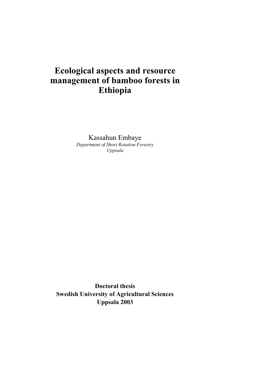# **Ecological aspects and resource management of bamboo forests in Ethiopia**

Kassahun Embaye *Department of Short Rotation Forestry Uppsala*

**Doctoral thesis Swedish University of Agricultural Sciences Uppsala 2003**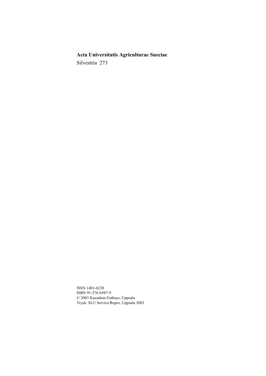# **Acta Universitatis Agriculturae Sueciae**

Silvestria 273

ISSN 1401-6230 ISBN 91-576-6507-9 © 2003 Kassahun Embaye, Uppsala Tryck: SLU Service/Repro, Uppsala 2003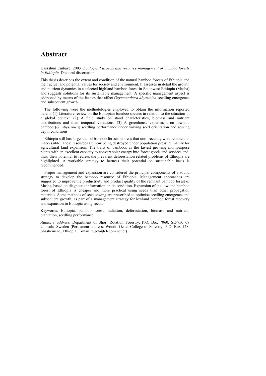# **Abstract**

Kassahun Embaye. 2003*. Ecological aspects and resource management of bamboo forests in Ethiopia.* Doctoral dissertation.

This thesis describes the extent and condition of the natural bamboo forests of Ethiopia and their actual and potential values for society and environment. It assesses in detail the growth and nutrient dynamics in a selected highland bamboo forest in Southwest Ethiopia (Masha) and suggests solutions for its sustainable management. A specific management aspect is addressed by means of the factors that affect *Oxytenanthera abyssinica* seedling emergence and subsequent growth.

The following were the methodologies employed to obtain the information reported herein. (1) Literature review on the Ethiopian bamboo species in relation to the situation in a global context. (2) A field study on stand characteristics, biomass and nutrient distributions and their temporal variations. (3) A greenhouse experiment on lowland bamboo (*O. abyssinica*) seedling performance under varying seed orientation and sowing depth conditions.

Ethiopia still has large natural bamboo forests in areas that until recently were remote and inaccessible. These resources are now being destroyed under population pressure mainly for agricultural land expansion. The traits of bamboos as the fastest growing multipurpose plants with an excellent capacity to convert solar energy into forest goods and services and, thus, their potential to redress the prevalent deforestation related problems of Ethiopia are highlighted. A workable strategy to harness their potential on sustainable basis is recommended.

Proper management and expansion are considered the principal components of a sound strategy to develop the bamboo resource of Ethiopia. Management approaches are suggested to improve the productivity and product quality of the remnant bamboo forest of Masha, based on diagnostic information on its condition. Expansion of the lowland bamboo forest of Ethiopia is cheaper and more practical using seeds than other propagation materials. Some methods of seed sowing are prescribed to optimise seedling emergence and subsequent growth, as part of a management strategy for lowland bamboo forest recovery and expansion in Ethiopia using seeds.

Keywords: Ethiopia, bamboo forest, radiation, deforestation, biomass and nutrient, plantation, seedling performance

*Authorís address*: Department of Short Rotation Forestry, P.O. Box 7060, SE-750 07 Uppsala, Sweden (Permanent address: Wondo Genet College of Forestry, P.O. Box 128, Shashemene, Ethiopia. E-mail: wgcf@telecom.net.et).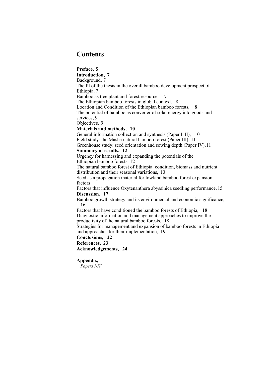# **Contents**

### **Preface, 5**

**Introduction, 7** Background, 7 The fit of the thesis in the overall bamboo development prospect of Ethiopia, 7 Bamboo as tree plant and forest resource, 7 The Ethiopian bamboo forests in global context, 8 Location and Condition of the Ethiopian bamboo forests, 8 The potential of bamboo as converter of solar energy into goods and services, 9 Objectives, 9 **Materials and methods, 10** General information collection and synthesis (Paper I, II), 10 Field study: the Masha natural bamboo forest (Paper III), 11 Greenhouse study: seed orientation and sowing depth (Paper IV),11 **Summary of results, 12** Urgency for harnessing and expanding the potentials of the Ethiopian bamboo forests, 12 The natural bamboo forest of Ethiopia: condition, biomass and nutrient distribution and their seasonal variations, 13 Seed as a propagation material for lowland bamboo forest expansion: factors Factors that influence Oxytenanthera abyssinica seedling performance, 15 **Discussion, 17**

Bamboo growth strategy and its environmental and economic significance, 16

Factors that have conditioned the bamboo forests of Ethiopia, 18 Diagnostic information and management approaches to improve the productivity of the natural bamboo forests, 18

Strategies for management and expansion of bamboo forests in Ethiopia and approaches for their implementation, 19

**Conclusions, 22**

**References, 23**

**Acknowledgements, 24**

### **Appendix,**

*Papers I-IV*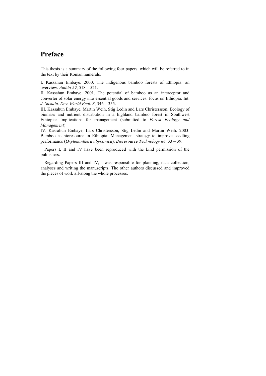# **Preface**

This thesis is a summary of the following four papers, which will be referred to in the text by their Roman numerals.

I. Kassahun Embaye. 2000. The indigenous bamboo forests of Ethiopia: an overview. *Ambio 29*, 518 – 521.

II. Kassahun Embaye. 2001. The potential of bamboo as an interceptor and converter of solar energy into essential goods and services: focus on Ethiopia. Int. *J. Sustain. Dev. World Ecol. 8, 346 - 355.* 

III. Kassahun Embaye, Martin Weih, Stig Ledin and Lars Christersson. Ecology of biomass and nutrient distribution in a highland bamboo forest in Southwest Ethiopia: Implications for management (submitted to *Forest Ecology and Management*).

IV. Kassahun Embaye, Lars Christersson, Stig Ledin and Martin Weih. 2003. Bamboo as bioresource in Ethiopia: Management strategy to improve seedling performance (*Oxytenanthera abyssinica*). *Bioresource Technology 88*, 33 – 39.

Papers I, II and IV have been reproduced with the kind permission of the publishers.

Regarding Papers III and IV, I was responsible for planning, data collection, analyses and writing the manuscripts. The other authors discussed and improved the pieces of work all-along the whole processes.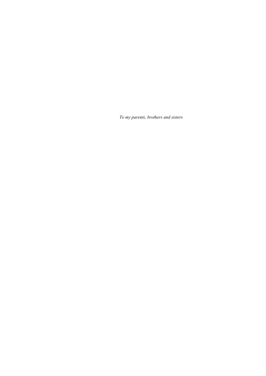*To my parents, brothers and sisters*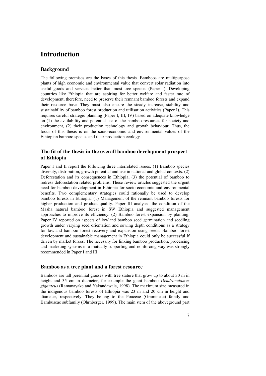# **Introduction**

### **Background**

The following premises are the bases of this thesis. Bamboos are multipurpose plants of high economic and environmental value that convert solar radiation into useful goods and services better than most tree species (Paper I). Developing countries like Ethiopia that are aspiring for better welfare and faster rate of development, therefore, need to preserve their remnant bamboo forests and expand their resource base. They must also ensure the steady increase, stability and sustainability of bamboo forest production and utilisation activities (Paper I). This requires careful strategic planning (Paper I, III, IV) based on adequate knowledge on (1) the availability and potential use of the bamboo resources for society and environment, (2) their production technology and growth behaviour. Thus, the focus of this thesis is on the socio-economic and environmental values of the Ethiopian bamboo species and their production ecology.

### **The fit of the thesis in the overall bamboo development prospect of Ethiopia**

Paper I and II report the following three interrelated issues. (1) Bamboo species diversity, distribution, growth potential and use in national and global contexts. (2) Deforestation and its consequences in Ethiopia, (3) the potential of bamboo to redress deforestation related problems. These review articles suggested the urgent need for bamboo development in Ethiopia for socio-economic and environmental benefits. Two complementary strategies could rationally be used to develop bamboo forests in Ethiopia. (1) Management of the remnant bamboo forests for higher production and product quality. Paper III analysed the condition of the Masha natural bamboo forest in SW Ethiopia and suggested management approaches to improve its efficiency. (2) Bamboo forest expansion by planting. Paper IV reported on aspects of lowland bamboo seed germination and seedling growth under varying seed orientation and sowing depth conditions as a strategy for lowland bamboo forest recovery and expansion using seeds. Bamboo forest development and sustainable management in Ethiopia could only be successful if driven by market forces. The necessity for linking bamboo production, processing and marketing systems in a mutually supporting and reinforcing way was strongly recommended in Paper I and III.

### **Bamboo as a tree plant and a forest resource**

Bamboos are tall perennial grasses with tree stature that grow up to about 30 m in height and 35 cm in diameter, for example the giant bamboo *Dendrocalamus giganteus* (Ramanayake and Yakandawala, 1998). The maximum size measured in the indigenous bamboo forests of Ethiopia was 23 m and 20 cm in height and diameter, respectively. They belong to the Poaceae (Gramineae) family and Bambuseae subfamily (Ohrnberger, 1999). The main stem of the aboveground part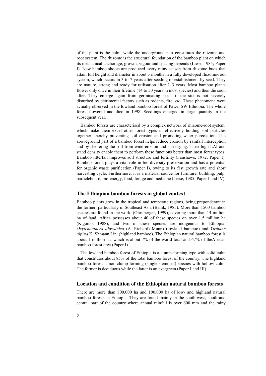of the plant is the culm, while the underground part constitutes the rhizome and root system. The rhizome is the structural foundation of the bamboo plant on which its mechanical anchorage, growth, vigour and spacing depends (Liese, 1985; Paper I). New bamboo shoots are produced every rainy season from rhizome buds that attain full height and diameter in about 3 months in a fully developed rhizome-root system, which occurs in 3 to 7 years after seeding or establishment by seed. They are mature, strong and ready for utilisation after  $2-3$  years. Most bamboo plants flower only once in their lifetime (14 to 50 years in most species) and then die soon after. They emerge again from germinating seeds if the site is not severely disturbed by detrimental factors such as rodents, fire, *etc*. These phenomena were actually observed in the lowland bamboo forest of Pawe, SW Ethiopia. The whole forest flowered and died in 1998. Seedlings emerged in large quantity in the subsequent year.

Bamboo forests are characterised by a complex network of rhizome-root system, which make them excel other forest types in effectively holding soil particles together, thereby preventing soil erosion and promoting water percolation. The aboveground part of a bamboo forest helps reduce erosion by rainfall interception and by sheltering the soil from wind erosion and sun drying. Their high LAI and stand density enable them to perform these functions better than most forest types. Bamboo litterfall improves soil structure and fertility (Fanshawe, 1972; Paper I). Bamboo forest plays a vital role in bio-diversity preservation and has a potential for organic waste purification (Paper I), owing to its fast growth rate and short harvesting cycle. Furthermore, it is a material source for furniture, building, pulp, particleboard, bio-energy, food, forage and medicine (Liese, 1985; Paper I and IV).

#### **The Ethiopian bamboo forests in global context**

Bamboo plants grow in the tropical and temperate regions, being preponderant in the former, particularly in Southeast Asia (Banik, 1985). More than 1500 bamboo species are found in the world (Ohrnberger, 1999), covering more than 14 million ha of land. Africa possesses about 40 of these species on over 1.5 million ha (Kigomo, 1988), and two of these species are indigenous to Ethiopia: *Oxytenanthera abyssinica* (A. Richard) Munro (lowland bamboo) and *Yushane alpina* K. Shmann Lin. (highland bamboo). The Ethiopian natural bamboo forest is about 1 million ha, which is about 7% of the world total and 67% of theAfrican bamboo forest area (Paper I).

The lowland bamboo forest of Ethiopia is a clump-forming type with solid culm that constitutes about 85% of the total bamboo forest of the country. The highland bamboo forest is non-clump forming (single-stemmed) species with hollow culm. The former is deciduous while the latter is an evergreen (Paper I and III).

#### **Location and condition of the Ethiopian natural bamboo forests**

There are more than 800,000 ha and 100,000 ha of low- and highland natural bamboo forests in Ethiopia. They are found mainly in the south-west, south and central part of the country where annual rainfall is over 600 mm and the rainy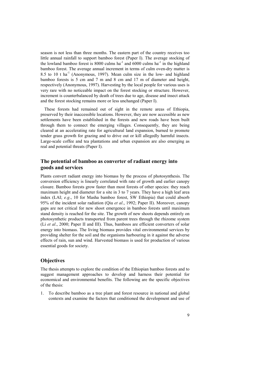season is not less than three months. The eastern part of the country receives too little annual rainfall to support bamboo forest (Paper I). The average stocking of the lowland bamboo forest is 8000 culms ha<sup>-1</sup> and 6000 culms ha<sup>-1</sup> in the highland bamboo forest. The average annual increment in terms of culm oven-dry matter is 8.5 to 10 t ha<sup>-1</sup> (Anonymous, 1997). Mean culm size in the low- and highland bamboo forests is 5 cm and 7 m and 8 cm and 17 m of diameter and height, respectively (Anonymous, 1997). Harvesting by the local people for various uses is very rare with no noticeable impact on the forest stocking or structure. However, increment is counterbalanced by death of trees due to age, disease and insect attack and the forest stocking remains more or less unchanged (Paper I).

These forests had remained out of sight in the remote areas of Ethiopia, preserved by their inaccessible locations. However, they are now accessible as new settlements have been established in the forests and new roads have been built through them to connect the emerging villages. Consequently, they are being cleared at an accelerating rate for agricultural land expansion, burned to promote tender grass growth for grazing and to drive out or kill allegedly harmful insects. Large-scale coffee and tea plantations and urban expansion are also emerging as real and potential threats (Paper I).

### **The potential of bamboo as converter of radiant energy into goods and services**

Plants convert radiant energy into biomass by the process of photosynthesis. The conversion efficiency is linearly correlated with rate of growth and earlier canopy closure. Bamboo forests grow faster than most forests of other species: they reach maximum height and diameter for a site in 3 to 7 years. They have a high leaf area index (LAI; *e.g*., 10 for Masha bamboo forest, SW Ethiopia) that could absorb 95% of the incident solar radiation (Qiu *et al*., 1992; Paper II). Moreover, canopy gaps are not critical for new shoot emergence in bamboo forests until maximum stand density is reached for the site. The growth of new shoots depends entirely on photosynthetic products transported from parent trees through the rhizome system (Li *et al*., 2000; Paper II and III). Thus, bamboos are efficient converters of solar energy into biomass. The living biomass provides vital environmental services by providing shelter for the soil and the organisms harbouring in it against the adverse effects of rain, sun and wind. Harvested biomass is used for production of various essential goods for society.

#### **Objectives**

The thesis attempts to explore the condition of the Ethiopian bamboo forests and to suggest management approaches to develop and harness their potential for economical and environmental benefits. The following are the specific objectives of the thesis:

1. To describe bamboo as a tree plant and forest resource in national and global contexts and examine the factors that conditioned the development and use of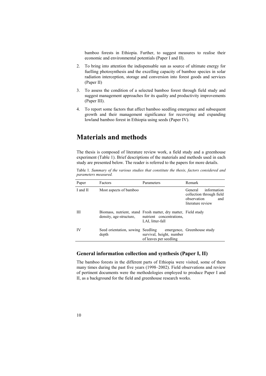bamboo forests in Ethiopia. Further, to suggest measures to realise their economic and environmental potentials (Paper I and II).

- 2. To bring into attention the indispensable sun as source of ultimate energy for fuelling photosynthesis and the excelling capacity of bamboo species in solar radiation interception, storage and conversion into forest goods and services (Paper II)
- 3. To assess the condition of a selected bamboo forest through field study and suggest management approaches for its quality and productivity improvements (Paper III).
- 4. To report some factors that affect bamboo seedling emergence and subsequent growth and their management significance for recovering and expanding lowland bamboo forest in Ethiopia using seeds (Paper IV).

# **Materials and methods**

The thesis is composed of literature review work, a field study and a greenhouse experiment (Table 1). Brief descriptions of the materials and methods used in each study are presented below. The reader is referred to the papers for more details.

Table 1*. Summary of the various studies that constitute the thesis, factors considered and parameters measured.*

| Paper    | Factors                           | Parameters                                                                                                     | Remark                                                                                        |
|----------|-----------------------------------|----------------------------------------------------------------------------------------------------------------|-----------------------------------------------------------------------------------------------|
| I and II | Most aspects of bamboo            |                                                                                                                | information<br>General<br>collection through field<br>observation<br>and<br>literature review |
| Ш        | density, age-structure,           | Biomass, nutrient, stand Fresh matter, dry matter, Field study<br>nutrient concentrations.<br>LAI, litter-fall |                                                                                               |
| IV       | Seed orientation, sowing<br>depth | Seedling<br>survival, height, number<br>of leaves per seedling                                                 | emergence, Greenhouse study                                                                   |

### **General information collection and synthesis (Paper I, II)**

The bamboo forests in the different parts of Ethiopia were visited, some of them many times during the past five years (1998–2002). Field observations and review of pertinent documents were the methodologies employed to produce Paper I and II, as a background for the field and greenhouse research works.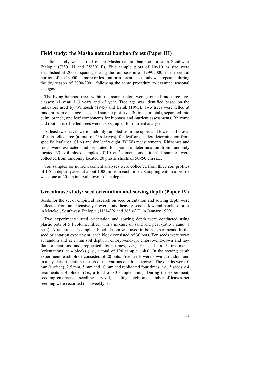#### **Field study: the Masha natural bamboo forest (Paper III)**

The field study was carried out at Masha natural bamboo forest in Southwest Ethiopia ( $7°30'$  N and  $35°30'$  E). Five sample plots of  $10\times10$  m size were established at 200 m spacing during the rain season of 1999/2000, in the central portion of the 19000 ha more or less uniform forest. The study was repeated during the dry season of 2000/2001, following the same procedure to examine seasonal changes.

The living bamboo trees within the sample plots were grouped into three ageclasses:  $\leq 1$  year,  $1-3$  years and  $\geq 3$  year. Tree age was identified based on the indicators used by Wimbush (1945) and Banik (1993). Two trees were felled at random from each age-class and sample plot (*i.e*., 30 trees in total), separated into culm, branch, and leaf components for biomass and nutrient assessments. Rhizome and root parts of felled trees were also sampled for nutrient analyses.

At least two leaves were randomly sampled from the upper and lower half crown of each felled tree (a total of 236 leaves), for leaf area index determination from specific leaf area (SLA) and dry leaf weight (DLW) measurements. Rhizomes and roots were extracted and separated for biomass determination from randomly located 33 soil block samples of 10 cm<sup>3</sup> dimensions. Litterfall samples were collected from randomly located 20 plastic sheets of 50×50 cm size.

Soil samples for nutrient content analyses were collected from three soil profiles of 1.5 m depth spaced at about 1000 m from each other. Sampling within a profile was done at 20 cm interval down to 1 m depth.

#### **Greenhouse study: seed orientation and sowing depth (Paper IV)**

Seeds for the set of empirical research on seed orientation and sowing depth were collected from an extensively flowered and heavily seeded lowland bamboo forest in Metekel, Southwest Ethiopia (11°14′ N and  $36^{\circ}16'$  E) in January 1999.

Two experiments: seed orientation and sowing depth were conducted using plastic pots of 5 l volume, filled with a mixture of sand and peat (ratio 3 sand: 1 peat). A randomised complete block design was used in both experiments. In the seed orientation experiment, each block consisted of 30 pots. Ten seeds were sown at random and at 2 mm soil depth in embryo-end-up, embryo-end-down and layflat orientations and replicated four times, *i.e.*, 10 seeds  $\times$  3 treatments (orientations)  $\times$  4 blocks (*i.e.*, a total of 120 sample units). In the sowing depth experiment, each block consisted of 20 pots. Five seeds were sown at random and in a lay-flat orientation in each of the various depth categories. The depths were: 0 mm (surface), 2.5 mm, 5 mm and 10 mm and replicated four times, *i.e.*, 5 seeds  $\times$  4 treatments  $\times$  4 blocks *(i.e., a total of 80 sample units)*. During the experiment, seedling emergence, seedling survival, seedling height and number of leaves per seedling were recorded on a weekly basis.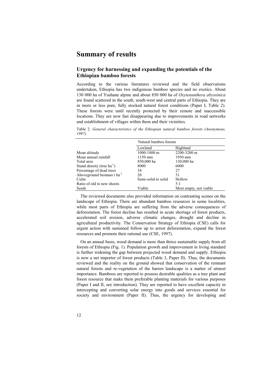# **Summary of results**

### **Urgency for harnessing and expanding the potentials of the Ethiopian bamboo forests**

According to the various literatures reviewed and the field observations undertaken, Ethiopia has two indigenous bamboo species and no exotics. About 130 000 ha of Yushane alpine and about 850 000 ha of *Oxytenanthera abyssinica* are found scattered in the south, south-west and central parts of Ethiopia. They are in more or less pure, fully stocked natural forest conditions (Paper I, Table 2). These forests were until recently protected by their remote and inaccessible locations. They are now fast disappearing due to improvements in road networks and establishment of villages within them and their vicinities.

Table 2. *General characteristics of the Ethiopian natural bamboo forests (Anonymous, 1997).*

|                                        | Natural bamboo forests |                        |  |  |
|----------------------------------------|------------------------|------------------------|--|--|
|                                        | Lowland                | Highland               |  |  |
| Mean altitude                          | $1000 - 1800$ m        | 2200-3200 m            |  |  |
| Mean annual rainfall                   | 1150 mm                | 1950 mm                |  |  |
| Total area                             | 850,000 ha             | 130,000 ha             |  |  |
| Stand density (tree $ha^{-1}$ )        | 8000                   | 6000                   |  |  |
| Percentage of dead trees               | 34                     | 27                     |  |  |
| Aboveground biomass t ha <sup>-1</sup> | 20                     | 51                     |  |  |
| Culm                                   | Semi-solid to solid    | Hollow                 |  |  |
| Ratio of old to new shoots             |                        | 5:1                    |  |  |
| Seeds                                  | Viable                 | Most empty, not viable |  |  |

The reviewed documents also provided information on contrasting scenes on the landscape of Ethiopia. There are abundant bamboo resources in some localities, while most parts of Ethiopia are suffering from the adverse consequences of deforestation. The forest decline has resulted in acute shortage of forest products, accelerated soil erosion, adverse climatic changes, drought and decline in agricultural productivity. The Conservation Strategy of Ethiopia (CSE) calls for urgent action with sustained follow up to arrest deforestation, expand the forest resources and promote their rational use (CSE, 1997).

On an annual basis, wood demand is more than thrice sustainable supply from all forests of Ethiopia (Fig. 1). Population growth and improvement in living standard is further widening the gap between projected wood demand and supply. Ethiopia is now a net importer of forest products (Table 3, Paper II). Thus, the documents reviewed and the reality on the ground showed that conservation of the remnant natural forests and re-vegetation of the barren landscape is a matter of utmost importance. Bamboos are reported to possess desirable qualities as a tree plant and forest resource that make them preferable planting materials for various purposes (Paper I and II, see introduction). They are reported to have excellent capacity in intercepting and converting solar energy into goods and services essential for society and environment (Paper II). Thus, the urgency for developing and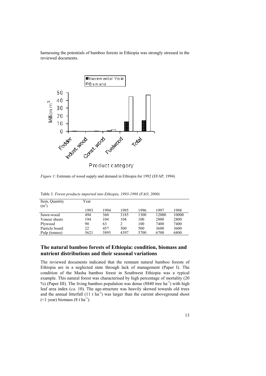harnessing the potentials of bamboo forests in Ethiopia was strongly stressed in the reviewed documents.



*Figure 1*: Estimate of wood supply and demand in Ethiopia for 1992 (EFAP, 1994)

| Item, Quantity<br>$(m^3)$ | Year |      |      |      |       |       |
|---------------------------|------|------|------|------|-------|-------|
|                           | 1993 | 1994 | 1995 | 1996 | 1997  | 1998  |
| Sawn-wood                 | 494  | 360  | 3185 | 1300 | 12000 | 10000 |
| Veneer sheets             | 194  | 104  | 104  | 100  | 2800  | 2800  |
| Plywood                   | 90   | 63   |      | 100  | 7400  | 7400  |
| Particle board            | 22   | 457  | 500  | 500  | 3600  | 3600  |
| Pulp (tonnes)             | 5621 | 3895 | 4397 | 5700 | 6700  | 6800  |

Table 3. *Forest products imported into Ethiopia, 1993-1998 (FAO, 2000)*

# **The natural bamboo forests of Ethiopia: condition, biomass and nutrient distributions and their seasonal variations**

The reviewed documents indicated that the remnant natural bamboo forests of Ethiopia are in a neglected state through lack of management (Paper I). The condition of the Masha bamboo forest in Southwest Ethiopia was a typical example. This natural forest was characterised by high percentage of mortality (20  $\%$ ) (Paper III). The living bamboo population was dense (8840 tree ha<sup>-1</sup>) with high leaf area index (*ca*. 10). The age-structure was heavily skewed towards old trees and the annual litterfall  $(11 \text{ t} \text{ ha}^{-1})$  was larger than the current aboveground shoot  $(<1$  year) biomass  $(8 \text{ tha}^{-1})$ .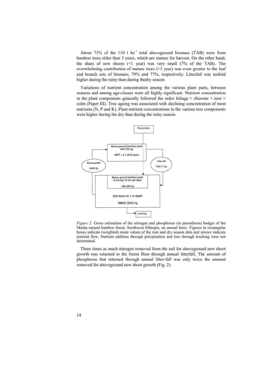About 73% of the 110 t  $ha^{-1}$  total aboveground biomass (TAB) were from bamboo trees older than 3 years, which are mature for harvest. On the other hand, the share of new shoots  $(1 \text{ year})$  was very small  $(7\% \text{ of the TAB})$ . The overwhelming contribution of mature trees  $(>= 3$  year) was even greater to the leaf and branch sets of biomass, 79% and 77%, respectively. Litterfall was tenfold higher during the rainy than during thedry season.

Variations of nutrient concentration among the various plant parts, between seasons and among age-classes were all highly significant. Nutrient concentration in the plant components generally followed the order foliage > rhizome > root > culm (Paper III). Tree ageing was associated with declining concentration of most nutrients (N, P and K). Plant nutrient concentrations in the various tree components were higher during the dry than during the rainy season.



*Figure 2:* Gross estimation of the nitrogen and phosphorus (in parenthesis) budget of the Masha natural bamboo forest, Southwest Ethiopia, on annual basis. Figures in rectangular boxes indicate (weighted) mean values of the rain and dry season data and arrows indicate nutrient flow. Nutrient addition through precipitation and loss through leaching were not determined.

Three times as much nitrogen removed from the soil for aboveground new shoot growth was returned to the forest floor through annual litterfall. The amount of phosphorus that returned through annual litter-fall was only twice the amount removed for aboveground new shoot growth (Fig. 2).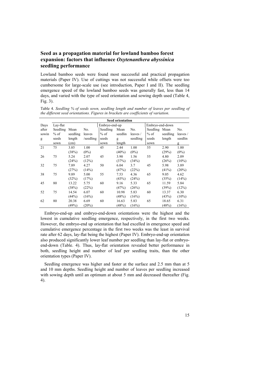## **Seed as a propagation material for lowland bamboo forest expansion: factors that influence** *Oxytenanthera abyssinica* **seedling performance**

Lowland bamboo seeds were found most successful and practical propagation materials (Paper IV). Use of cuttings was not successful while offsets were too cumbersome for large-scale use (see introduction, Paper I and II). The seedling emergence speed of the lowland bamboo seeds was generally fast, less than 14 days, and varied with the type of seed orientation and sowing depth used (Table 4, Fig. 3).

|       | <b>Seed orientation</b> |          |           |               |          |          |                 |          |          |
|-------|-------------------------|----------|-----------|---------------|----------|----------|-----------------|----------|----------|
| Days  | Lay-flat                |          |           | Embryo-end-up |          |          | Embryo-end-down |          |          |
| after | Seedling                | Mean     | No.       | Seedling      | Mean     | No.      | Seedling Mean   |          | No.      |
| sowin | $%$ of                  | seedling | leaves    | $%$ of        | seedlin  | leaves/  | $%$ of          | seedling | leaves / |
| g     | seeds                   | length   | /seedling | seeds         | g        | seedling | seeds           | length   | seedlin  |
|       | sown                    | (cm)     |           | sown          | length   |          | sown            |          | g        |
| 21    | 75                      | 3.85     | 1.00      | 45            | 2.44     | 1.00     | 55              | 2.90     | 1.00     |
|       |                         | (38%)    | $(0\%)$   |               | $(40\%)$ | $(0\%)$  |                 | (29%)    | $(0\%)$  |
| 26    | 75                      | 5.24     | 2.07      | 45            | 3.90     | 1.56     | 55              | 4.80     | 2.09     |
|       |                         | (24%)    | (12%)     |               | (37%)    | (34%)    |                 | (26%)    | $(10\%)$ |
| 32    | 75                      | 7.89     | 4.27      | 50            | 6.04     | 3.7      | 45              | 5.98     | 3.89     |
|       |                         | (27%)    | (14%)     |               | (47%)    | (22%)    |                 | (41%)    | (20%)    |
| 38    | 75                      | 9.89     | 5.00      | 55            | 7.53     | 4.36     | 65              | 9.05     | 4.62     |
|       |                         | (32%)    | (17%)     |               | (43%)    | (24%)    |                 | (35%)    | (14%)    |
| 45    | 80                      | 13.22    | 5.75      | 60            | 9.16     | 5.33     | 65              | 11.59    | 5.84     |
|       |                         | (38%)    | (22%)     |               | (47%)    | (26%)    |                 | (39%)    | (12%)    |
| 52    | 75                      | 14.54    | 6.07      | 60            | 10.98    | 5.83     | 60              | 13.37    | 6.30     |
|       |                         | (44%)    | (16%)     |               | (48%)    | (16%)    |                 | (43%)    | $(10\%)$ |
| 62    | 80                      | 20.38    | 6.69      | 60            | 16.63    | 5.83     | 65              | 18.65    | 6.31     |
|       |                         | (49%)    | (20%)     |               | (48%)    | (16%)    |                 | (48%)    | (16%)    |

Table 4. *Seedling % of seeds sown, seedling length and number of leaves per seedling of the different seed orientations. Figures in brackets are coefficients of variation*.

Embryo-end-up and embryo-end-down orientations were the highest and the lowest in cumulative seedling emergence, respectively, in the first two weeks. However, the embryo-end up orientation that had excelled in emergence speed and cumulative emergence percentage in the first two weeks was the least in survival rate after 62 days, lay-flat being the highest (Paper IV). Embryo-end-up orientation also produced significantly lower leaf number per seedling than lay-flat or embryoend-down (Table. 4). Thus, lay-flat orientation revealed better performance in both, seedling height and number of leaf per seedling traits, than the other orientation types (Paper IV).

Seedling emergence was higher and faster at the surface and 2.5 mm than at 5 and 10 mm depths. Seedling height and number of leaves per seedling increased with sowing depth until an optimum at about 5 mm and decreased thereafter (Fig. 4).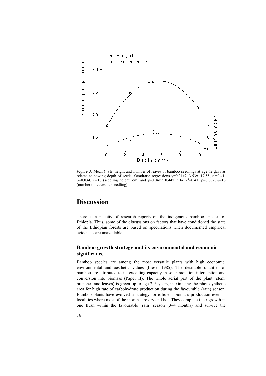

*Figure 3:* Mean ( $\pm$ SE) height and number of leaves of bamboo seedlings at age 62 days as related to sowing depth of seeds. Quadratic regressions  $y=0.31x2+3.53x+17.55$ ,  $r^2=0.41$ , p=0.034, *n=*16 (seedling height, cm) and y=0.04x2+0.44x+5.14, *r* 2 =0.41, p=0.032, *n*=16 (number of leaves per seedling).

# **Discussion**

There is a paucity of research reports on the indigenous bamboo species of Ethiopia. Thus, some of the discussions on factors that have conditioned the state of the Ethiopian forests are based on speculations when documented empirical evidences are unavailable.

## **Bamboo growth strategy and its environmental and economic significance**

Bamboo species are among the most versatile plants with high economic, environmental and aesthetic values (Liese, 1985). The desirable qualities of bamboo are attributed to its excelling capacity in solar radiation interception and conversion into biomass (Paper II). The whole aerial part of the plant (stem, branches and leaves) is green up to age  $2-3$  years, maximising the photosynthetic area for high rate of carbohydrate production during the favourable (rain) season. Bamboo plants have evolved a strategy for efficient biomass production even in localities where most of the months are dry and hot. They complete their growth in one flush within the favourable (rain) season  $(3-4$  months) and survive the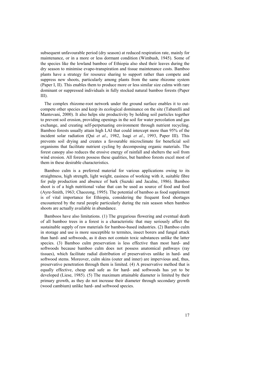subsequent unfavourable period (dry season) at reduced respiration rate, mainly for maintenance, or in a more or less dormant condition (Wimbush, 1945). Some of the species like the lowland bamboo of Ethiopia also shed their leaves during the dry season to minimise evapo-transpiration and tissue maintenance costs. Bamboo plants have a strategy for resource sharing to support rather than compete and suppress new shoots, particularly among plants from the same rhizome system (Paper I, II). This enables them to produce more or less similar size culms with rare dominant or suppressed individuals in fully stocked natural bamboo forests (Paper III).

The complex rhizome-root network under the ground surface enables it to outcompete other species and keep its ecological dominance on the site (Tabarelli and Mantovani, 2000). It also helps site productivity by holding soil particles together to prevent soil erosion, providing openings in the soil for water percolation and gas exchange, and creating self-perpetuating environment through nutrient recycling. Bamboo forests usually attain high LAI that could intercept more than 95% of the incident solar radiation (Qui *et al*., 1982, Isagi *et al*., 1993, Paper III). This prevents soil drying and creates a favourable microclimate for beneficial soil organisms that facilitate nutrient cycling by decomposing organic materials. The forest canopy also reduces the erosive energy of rainfall and shelters the soil from wind erosion. All forests possess these qualities, but bamboo forests excel most of them in these desirable characteristics.

Bamboo culm is a preferred material for various applications owing to its straightness, high strength, light weight, easiness of working with it, suitable fibre for pulp production and absence of bark (Suzuki and Jacalne, 1986). Bamboo shoot is of a high nutritional value that can be used as source of food and feed (Ayre-Smith, 1963; Chaozong, 1995). The potential of bamboo as food supplement is of vital importance for Ethiopia, considering the frequent food shortages encountered by the rural people particularly during the rain season when bamboo shoots are actually available in abundance.

Bamboos have also limitations. (1) The gregarious flowering and eventual death of all bamboo trees in a forest is a characteristic that may seriously affect the sustainable supply of raw materials for bamboo-based industries. (2) Bamboo culm in storage and use is more susceptible to termites, insect borers and fungal attack than hard- and softwoods, as it does not contain toxic substances unlike the latter species. (3) Bamboo culm preservation is less effective than most hard- and softwoods because bamboo culm does not possess anatomical pathways (ray tissues), which facilitate radial distribution of preservatives unlike in hard- and softwood stems. Moreover, culm skins (outer and inner) are impervious and, thus, preservative penetration through them is limited. (4) A preservative method that is equally effective, cheap and safe as for hard- and softwoods has yet to be developed (Liese, 1985). (5) The maximum attainable diameter is limited by their primary growth, as they do not increase their diameter through secondary growth (wood cambium) unlike hard- and softwood species.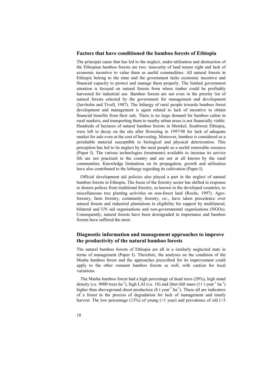#### **Factors that have conditioned the bamboo forests of Ethiopia**

The principal cause that has led to the neglect, under-utilisation and destruction of the Ethiopian bamboo forests are two: insecurity of land tenure right and lack of economic incentive to value them as useful commodities. All natural forests in Ethiopia belong to the state and the government lacks economic incentive and financial capacity to protect and manage them properly. The limited government attention is focused on natural forests from where timber could be profitably harvested for industrial use. Bamboo forests are not even in the priority list of natural forests selected by the government for management and development (Jarvholm and Tivell, 1987). The lethargy of rural people towards bamboo forest development and management is again related to lack of incentive to obtain financial benefits from their sale. There is no large demand for bamboo culms in rural markets, and transporting them to nearby urban areas is not financially viable. Hundreds of hectares of natural bamboo forests in Metekel, Southwest Ethiopia, were left to decay on the site after flowering in 1997/98 for lack of adequate market for sale even at the cost of harvesting. Moreover, bamboo is considered as a perishable material susceptible to biological and physical deterioration. This perception has led to its neglect by the rural people as a useful renewable resource (Paper I). The various technologies (treatments) available to increase its service life are not practised in the country and are not at all known by the rural communities. Knowledge limitations on its propagation, growth and utilisation have also contributed to the lethargy regarding its cultivation (Paper I).

Official development aid policies also played a part in the neglect of natural bamboo forests in Ethiopia. The focus of the forestry sector has shifted in response to donors polices from traditional forestry, as known in the developed countries, to miscellaneous tree planting activities on non-forest land (Roche, 1997). Agroforestry, farm forestry, community forestry, *etc*., have taken precedence over natural forests and industrial plantations in eligibility for support by multilateral, bilateral and UN aid organisations and non-governmental organisations (NGOs). Consequently, natural forests have been downgraded in importance and bamboo forests have suffered the most.

### **Diagnostic information and management approaches to improve the productivity of the natural bamboo forests**

The natural bamboo forests of Ethiopia are all in a similarly neglected state in terms of management (Paper I). Therefore, the analyses on the condition of the Masha bamboo forest and the approaches prescribed for its improvement could apply to the other remnant bamboo forests as well, with caution for local variations.

The Masha bamboo forest had a high percentage of dead trees (20%), high stand density (*ca*. 9000 trees ha<sup>-1</sup>), high LAI (*ca*. 10) and litter-fall mass (11 t year<sup>-1</sup> ha<sup>-1</sup>) higher than aboveground shoot production  $(8 \text{ t year}^{-1} \text{ ha}^{-1})$ . These all are indicators of a forest in the process of degradation for lack of management and timely harvest. The low percentage (13%) of young ( $\leq 1$  year) and prevalence of old ( $\geq 3$ )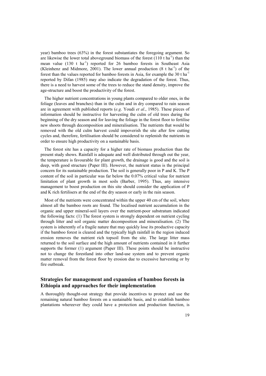year) bamboo trees (63%) in the forest substantiates the foregoing argument. So are likewise the lower total aboveground biomass of the forest  $(110 \text{ t ha}^{-1})$  than the mean value  $(130 \text{ t} \text{ ha}^{-1})$  reported for 26 bamboo forests in Southeast Asia (Kleinhenz and Midmore, 2001). The lower annual production  $(8 \text{ t} \text{ ha}^{-1})$  of the forest than the values reported for bamboo forests in Asia, for example the  $30$  t ha<sup>-1</sup> reported by Difan (1985) may also indicate the degradation of the forest. Thus, there is a need to harvest some of the trees to reduce the stand density, improve the age-structure and boost the productivity of the forest.

The higher nutrient concentrations in young plants compared to older ones, in the foliage (leaves and branches) than in the culm and in dry compared to rain season are in agreement with published reports (*e.g*. Youdi *et al*., 1985). These pieces of information should be instructive for harvesting the culm of old trees during the beginning of the dry season and for leaving the foliage in the forest floor to fertilise new shoots through decomposition and mineralisation. The nutrients that would be removed with the old culm harvest could impoverish the site after few cutting cycles and, therefore, fertilisation should be considered to replenish the nutrients in order to ensure high productivity on a sustainable basis.

The forest site has a capacity for a higher rate of biomass production than the present study shows. Rainfall is adequate and well distributed through out the year, the temperature is favourable for plant growth, the drainage is good and the soil is deep, with good structure (Paper III). However, the nutrient status is the principal concern for its sustainable production. The soil is generally poor in P and K. The P content of the soil in particular was far below the 0.07% critical value for nutrient limitation of plant growth in most soils (Barber, 1995). Thus, any intensive management to boost production on this site should consider the application of P and K rich fertilisers at the end of the dry season or early in the rain season.

Most of the nutrients were concentrated within the upper 40 cm of the soil, where almost all the bamboo roots are found. The localised nutrient accumulation in the organic and upper mineral-soil layers over the nutrient-poor substratum indicated the following facts: (1) The forest system is strongly dependent on nutrient cycling through litter and soil organic matter decomposition and mineralisation. (2) The system is inherently of a fragile nature that may quickly lose its productive capacity if the bamboo forest is cleared and the typically high rainfall in the region induced erosion removes the nutrient rich topsoil from the site. The large litter mass returned to the soil surface and the high amount of nutrients contained in it further supports the former (1) argument (Paper III). These points should be instructive not to change the forestland into other land-use system and to prevent organic matter removal from the forest floor by erosion due to excessive harvesting or by fire outbreak.

### **Strategies for management and expansion of bamboo forests in Ethiopia and approaches for their implementation**

A thoroughly thought-out strategy that provide incentives to protect and use the remaining natural bamboo forests on a sustainable basis, and to establish bamboo plantations whereever they could have a protection and production function, is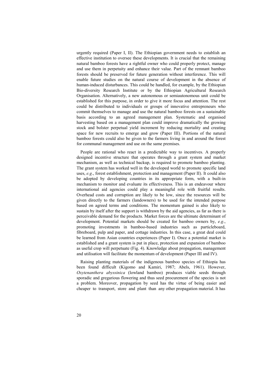urgently required (Paper I, II). The Ethiopian government needs to establish an effective institution to oversee these developments. It is crucial that the remaining natural bamboo forests have a rightful owner who could properly protect, manage and use them in perpetuity and enhance their value. Part of the remnant bamboo forests should be preserved for future generation without interference. This will enable future studies on the natural course of development in the absence of human-induced disturbances. This could be handled, for example, by the Ethiopian Bio-diversity Research Institute or by the Ethiopian Agricultural Research Organisation. Alternatively, a new autonomous or semiautonomous unit could be established for this purpose, in order to give it more focus and attention. The rest could be distributed to individuals or groups of innovative entrepreneurs who commit themselves to manage and use the natural bamboo forests on a sustainable basis according to an agreed management plan. Systematic and organised harvesting based on a management plan could improve dramatically the growing stock and bolster perpetual yield increment by reducing mortality and creating space for new recruits to emerge and grow (Paper III). Portions of the natural bamboo forests could also be given to the farmers living in and around the forest for communal management and use on the same premises.

People are rational who react in a predictable way to incentives. A properly designed incentive structure that operates through a grant system and market mechanism, as well as technical backup, is required to promote bamboo planting. The grant system has worked well in the developed world to promote specific land uses, *e.g*., forest establishment, protection and management (Paper II). It could also be adopted by developing countries in its appropriate form, with a built-in mechanism to monitor and evaluate its effectiveness. This is an endeavour where international aid agencies could play a meaningful role with fruitful results. Overhead costs and corruption are likely to be low, since the resources will be given directly to the farmers (landowners) to be used for the intended purpose based on agreed terms and conditions. The momentum gained is also likely to sustain by itself after the support is withdrawn by the aid agencies, as far as there is perceivable demand for the products. Market forces are the ultimate determinant of development. Potential markets should be created for bamboo owners by, *e.g*., promoting investments in bamboo-based industries such as particleboard, fibreboard, pulp and paper, and cottage industries. In this case, a great deal could be learned from Asian countries experiences (Paper I). Once a potential market is established and a grant system is put in place, protection and expansion of bamboo as useful crop will perpetuate (Fig. 4). Knowledge about propagation, management and utilisation will facilitate the momentum of development (Paper III and IV).

Raising planting materials of the indigenous bamboo species of Ethiopia has been found difficult (Kigomo and Kamiri, 1987; Abels, 1961). However, *Oxytenanthera abyssinica* (lowland bamboo) produces viable seeds through sporadic and gregarious flowering and thus seed procurement of the species is not a problem. Moreover, propagation by seed has the virtue of being easier and cheaper to transport, store and plant than any other propagation material. It has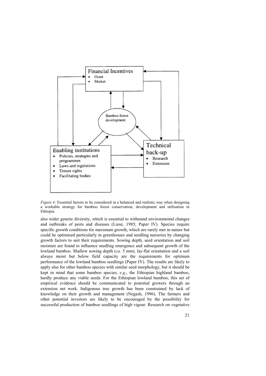

*Figure 4:* Essential factors to be considered in a balanced and realistic way when designing a workable strategy for bamboo forest conservation, development and utilisation in Ethiopia.

also wider genetic diversity, which is essential to withstand environmental changes and outbreaks of pests and diseases (Liese, 1985; Paper IV). Species require specific growth conditions for maximum growth, which are rarely met in nature but could be optimised particularly in greenhouses and seedling nurseries by changing growth factors to suit their requirements. Sowing depth, seed orientation and soil moisture are found to influence seedling emergence and subsequent growth of the lowland bamboo. Shallow sowing depth (*ca*. 5 mm), lay-flat orientation and a soil always moist but below field capacity are the requirements for optimum performance of the lowland bamboo seedlings (Paper IV). The results are likely to apply also for other bamboo species with similar seed morphology, but it should be kept in mind that some bamboo species, *e.g*., the Ethiopian highland bamboo, hardly produce any viable seeds. For the Ethiopian lowland bamboo, this set of empirical evidence should be communicated to potential growers through an extension net work. Indigenous tree growth has been constrained by lack of knowledge on their growth and management (Negash, 1996). The farmers and other potential investors are likely to be encouraged by the possibility for successful production of bamboo seedlings of high vigour. Research on vegetative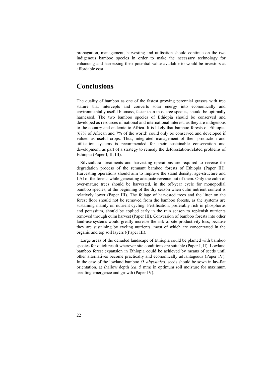propagation, management, harvesting and utilisation should continue on the two indigenous bamboo species in order to make the necessary technology for enhancing and harnessing their potential value available to would-be investors at affordable cost.

# **Conclusions**

The quality of bamboo as one of the fastest growing perennial grasses with tree stature that intercepts and converts solar energy into economically and environmentally useful biomass, faster than most tree species, should be optimally harnessed. The two bamboo species of Ethiopia should be conserved and developed as resources of national and international interest, as they are indigenous to the country and endemic to Africa. It is likely that bamboo forests of Ethiopia, (67% of African and 7% of the world) could only be conserved and developed if valued as useful crops. Thus, integrated management of their production and utilisation systems is recommended for their sustainable conservation and development, as part of a strategy to remedy the deforestation-related problems of Ethiopia (Paper I, II, III).

Silvicultural treatments and harvesting operations are required to reverse the degradation process of the remnant bamboo forests of Ethiopia (Paper III). Harvesting operations should aim to improve the stand density, age-structure and LAI of the forests while generating adequate revenue out of them. Only the culm of over-mature trees should be harvested, in the off-year cycle for monopodial bamboo species, at the beginning of the dry season when culm nutrient content is relatively lower (Paper III). The foliage of harvested trees and the litter on the forest floor should not be removed from the bamboo forests, as the systems are sustaining mainly on nutrient cycling. Fertilisation, preferably rich in phosphorus and potassium, should be applied early in the rain season to replenish nutrients removed through culm harvest (Paper III). Conversion of bamboo forests into other land-use systems would greatly increase the risk of site productivity loss, because they are sustaining by cycling nutrients, most of which are concentrated in the organic and top soil layers ((Paper III).

Large areas of the denuded landscape of Ethiopia could be planted with bamboo species for quick result wherever site conditions are suitable (Paper I, II). Lowland bamboo forest expansion in Ethiopia could be achieved by means of seeds until other alternatives become practically and economically advantageous (Paper IV). In the case of the lowland bamboo *O. abyssinica*, seeds should be sown in lay-flat orientation, at shallow depth (*ca*. 5 mm) in optimum soil moisture for maximum seedling emergence and growth (Paper IV).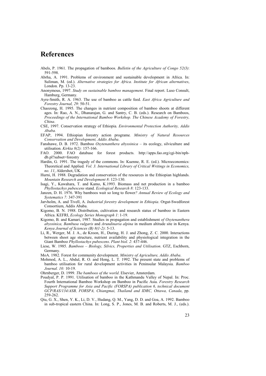# **References**

- Abels, P. 1961. The propagation of bamboos. *Bulletin of the Agriculture of Congo 52(3)*: 591-598.
- Abrha, A. 1991. Problems of environment and sustainable development in Africa. In: Suliman, M. (ed.). *Alternative strategies for Africa. Institute for African alternatives*, London. Pp. 13-23.
- Anonymous, 1997. *Study on sustainable bamboo management*. Final report. Luso Consult, Hamburg, Germany.
- Ayre-Smith, R. A. 1963. The use of bamboo as cattle feed. *East Africa Agriculture and Forestry Journal, 29*: 50-51.
- Chaozong, H. 1995. The changes in nutrient composition of bamboo shoots at different ages. In: Rao, A. N., Dhanarajan, G. and Santry, C. B. (eds.). Research on Bamboos, *Proceedings of the International Bamboo Workshop. The Chinese Academy of Forestry, China*.
- CSE, 1997. Conservation strategy of Ethiopia*. Environmental Protection Authority, Addis Ababa.*
- EFAP, 1994. Ethiopian forestry action programe*. Ministry of Natural Resources Conservation and Development, Addis Ababa*.
- Fanshawe, D. B. 1972. Bamboo *Oxytenanthera abyssinica* its ecology, silviculture and utilisation. *Kirkia 8(2):* 157-166.
- FAO. 2000. FAO database for forest products. http://apps.fao.org/cgi-bin/nphdb.pl?subset=forestry
- Hardin, G. 1991. The tragedy of the commons. In: Kuenne, R. E. (ed.). Microeconomics: Theoretical and Applied*. Vol. 3. International Library of Critical Writings in Economics, no. 11*, Aldershot, UK.
- Hurni, H. 1988. Degradation and conservation of the resources in the Ethiopian highlands. *Mountain Research and Development 8*: 123-130.
- Isagi, Y., Kawahara, T. and Kamo, K.1993. Biomass and net production in a bamboo *Phyllostachys pubescens* stand. *Ecological Research 8*: 123-133.
- Janzen, D. H. 1976. Why bamboos wait so long to flower*? Annual Review of Ecology and Systematics 7:* 347-391
- Jarvholm, A. and Tivell, A. *Industrial forestry development in Ethiopia*. Orgut-Swedforest Consortium, Addis Ababa.
- Kigomo, B. N. 1988. Distribution, cultivation and research status of bamboo in Eastern Africa. KEFRI, *Ecology Series Monograph 1*: 1-19.
- Kigomo, B. and Kamari, 1987. Studies in propagation and establishment *of Oxytenanthera abyssinica, Bambusa vulgaris* and *Arundinaria alpina* in medium altitude site in Kenya. *Kenya Journal of Sciences (B) 8(1-2)*: 5-13.
- Li, R., Werger, M. J. A., de Kroon, H., During, H. J. and Zhong, Z. C. 2000. Interactions between shoot age structure, nutrient availability and physiological integration in the Giant Bamboo *Phyllostachys pubescens*. *Plant biol. 2*: 437-446.
- Liese, W. 1985. *Bamboos Biology, Silvics, Properties and Utilisation*. GTZ, Eschborn, Germany.
- MoA. 1982. Forest for community development. *Ministry of Agriculture, Addis Ababa*.
- Mohmod, A. L., Abdul, R. O. and Hong, L. T. 1992. The present state and problems of bamboo utilisation for rural development activities in Peninsular Malaysia. *Bamboo Journal. 10:* 10-19.
- Ohrnberger, D. 1999. *The bamboos of the world*. Elsevier, Amsterdam.
- Poudyal, P. P. 1991. Utilisation of bamboo in the Kathmandu Valley of Nepal. In: Proc. Fourth International Bamboo Workshop on Bamboo in Pacific Asia. *Forestry Research Support Programme for Asia and Pacific (FORSPA) publication 6, technical document GCP/RAS/134/ASB, FORSPA, Chiangmai, Thailand and IDRC, Ottawa, Canada*, pp. 259-262.
- Qiu, G. X., Shen, Y. K., Li, D. V., Hudang, Q. M., Yang, D. D. and Goa, A. 1992. Bamboo in sub-tropical eastern China. In: Long, S. P., Jones, M. B. and Roberts, M. J., (eds.).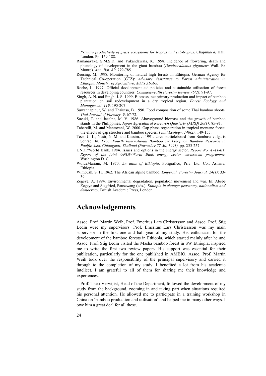*Primary productivity of grass ecosystems for tropics and sub-tropics*. Chapman & Hall, London. Pp. 159-188.

- Ramanayake, S.M.S.D. and Yakandawala, K. 1998. Incidence of flowering, death and phenology of development in the giant bamboo (*Dendrocalamus giganteus* Wall. Ex Munro). *Ann. Bot. 82*: 779-785.
- Reusing, M. 1998. Monitoring of natural high forests in Ethiopia. German Agency for Technical Co-operation (GTZ): *Advisory Assistance to Forest Administration in Ethiopia, Ministry of Agriculture, Addis Ababa*.
- Roche, L. 1997. Official development aid policies and sustainable utilisation of forest resources in developing countries. *Commonwealth Forestry Review 76(2)*: 91-97.
- Singh, A. N. and Singh, J. S. 1999. Biomass, net primary production and impact of bamboo plantation on soil redevelopment in a dry tropical region. *Forest Ecology and Management, 119*: 195-207.
- Suwannapinut, W. and Thaiutsa, B. 1990. Food composition of some Thai bamboo shoots. *Thai Journal of Forestry, 9*: 67-72.
- Suzuki, T. and Jacalne, M. V. 1986. Aboveground biomass and the growth of bamboo stands in the Philippines. *Japan Agricultural Research Quarterly (JARQ) 20(1):* 85-91.
- Tabarelli, M. and Mantovani, W. 2000. Gap phase regeneration in tropical montane forest: the effects of gap structure and bamboo species. *Plant Ecology, 148(2):* 149-155.
- Teck, C. L., Nasir, N. M. and Kassim, J. 1991. Urea particleboard from Bambusa vulgaris Schrad. In*: Proc. Fourth International Bamboo Workshop on Bamboo Research in Pacific Asia, Chiangmai, Thailand (November 27-30, 1991),* pp. 255-257.
- UNDP/World Bank, 1984. Issues and options in the energy sector. *Report No. 4741-ET. Report of the joint UNDP/World Bank energy sector assessment programme*, Washington D. C.
- WoldeMariam, M. 1970. *An atlas of Ethiopia*. Poligrafico, Priv. Ltd. Co., Asmara, Ethiopia.
- Wimbush, S. H. 1962. The African alpine bamboo. *Emperial Forestry Journal, 24(1)*: 33- 39
- Zegeye, A. 1994. Environmental degradation, population movement and war. In: Abebe Zegeye and Siegfried, Pausewang (eds.). *Ethiopia in change: peasantry, nationalism and democracy.* British Academic Press, London.

# **Acknowledgements**

Assoc. Prof. Martin Weih, Prof. Emeritus Lars Christersson and Assoc. Prof. Stig Ledin were my supervisors. Prof. Emeritus Lars Christersson was my main supervisor in the first one and half year of my study. His enthusiasm for the development of the bamboo forests in Ethiopia, which started mainly after he and Assoc. Prof. Stig Ledin visited the Masha bamboo forest in SW Ethiopia, inspired me to write the first two review papers. His support was essential for their publication, particularly for the one published in AMBIO. Assoc. Prof. Martin Weih took over the responsibility of the principal supervisory and carried it through to the completion of my study. I benefited a lot from his academic intellect. I am grateful to all of them for sharing me their knowledge and experiences.

Prof. Theo Verwijist, Head of the Department, followed the development of my study from the background, zooming in and taking part when situations required his personal attention. He allowed me to participate in a training workshop in China on 'bamboo production and utilisation' and helped me in many other ways. I owe him a great deal for all these.